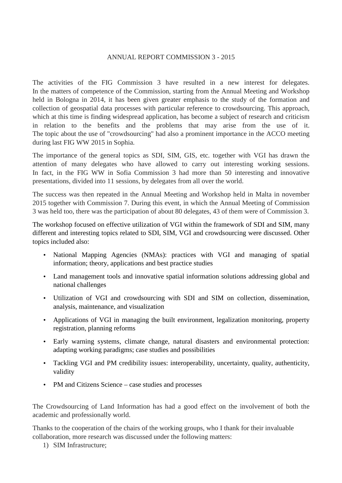## ANNUAL REPORT COMMISSION 3 - 2015

The activities of the FIG Commission 3 have resulted in a new interest for delegates. In the matters of competence of the Commission, starting from the Annual Meeting and Workshop held in Bologna in 2014, it has been given greater emphasis to the study of the formation and collection of geospatial data processes with particular reference to crowdsourcing. This approach, which at this time is finding widespread application, has become a subject of research and criticism in relation to the benefits and the problems that may arise from the use of it. The topic about the use of "crowdsourcing" had also a prominent importance in the ACCO meeting during last FIG WW 2015 in Sophia.

The importance of the general topics as SDI, SIM, GIS, etc. together with VGI has drawn the attention of many delegates who have allowed to carry out interesting working sessions. In fact, in the FIG WW in Sofia Commission 3 had more than 50 interesting and innovative presentations, divided into 11 sessions, by delegates from all over the world.

The success was then repeated in the Annual Meeting and Workshop held in Malta in november 2015 together with Commission 7. During this event, in which the Annual Meeting of Commission 3 was held too, there was the participation of about 80 delegates, 43 of them were of Commission 3.

The workshop focused on effective utilization of VGI within the framework of SDI and SIM, many different and interesting topics related to SDI, SIM, VGI and crowdsourcing were discussed. Other topics included also:

- National Mapping Agencies (NMAs): practices with VGI and managing of spatial information; theory, applications and best practice studies
- Land management tools and innovative spatial information solutions addressing global and national challenges
- Utilization of VGI and crowdsourcing with SDI and SIM on collection, dissemination, analysis, maintenance, and visualization
- Applications of VGI in managing the built environment, legalization monitoring, property registration, planning reforms
- Early warning systems, climate change, natural disasters and environmental protection: adapting working paradigms; case studies and possibilities
- Tackling VGI and PM credibility issues: interoperability, uncertainty, quality, authenticity, validity
- PM and Citizens Science case studies and processes

The Crowdsourcing of Land Information has had a good effect on the involvement of both the academic and professionally world.

Thanks to the cooperation of the chairs of the working groups, who I thank for their invaluable collaboration, more research was discussed under the following matters:

1) SIM Infrastructure;